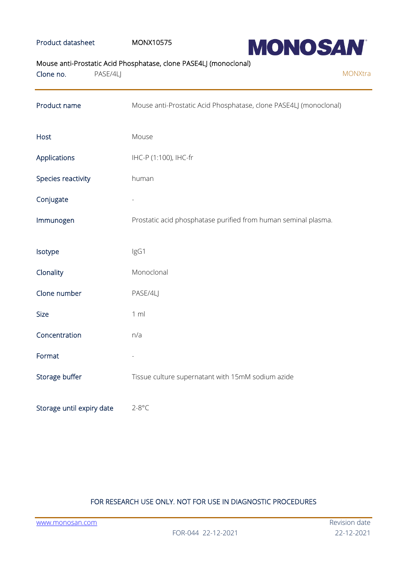### Product datasheet MONX10575



# Mouse anti-Prostatic Acid Phosphatase, clone PASE4LJ (monoclonal)

| Clone no.                 | PASE/4LJ |                                                                   | MONXtra |
|---------------------------|----------|-------------------------------------------------------------------|---------|
| Product name              |          | Mouse anti-Prostatic Acid Phosphatase, clone PASE4LJ (monoclonal) |         |
| Host                      |          | Mouse                                                             |         |
| Applications              |          | IHC-P (1:100), IHC-fr                                             |         |
| Species reactivity        |          | human                                                             |         |
| Conjugate                 |          |                                                                   |         |
| Immunogen                 |          | Prostatic acid phosphatase purified from human seminal plasma.    |         |
| Isotype                   |          | IgG1                                                              |         |
| Clonality                 |          | Monoclonal                                                        |         |
| Clone number              |          | PASE/4LJ                                                          |         |
| <b>Size</b>               |          | 1 m                                                               |         |
| Concentration             |          | n/a                                                               |         |
| Format                    |          |                                                                   |         |
| Storage buffer            |          | Tissue culture supernatant with 15mM sodium azide                 |         |
| Storage until expiry date |          | $2-8$ °C                                                          |         |

# FOR RESEARCH USE ONLY. NOT FOR USE IN DIAGNOSTIC PROCEDURES

[www.monosan.com](http://www.monosan.com/) **Review Access 2019** New York 2019 New York 2019 New York 2019 New York 2019 New York 2019 New York 2019